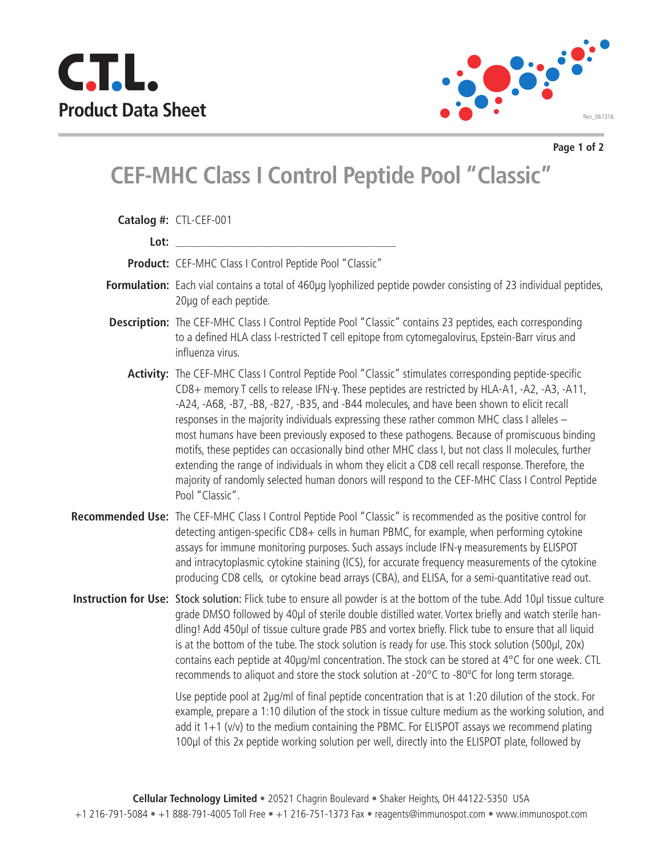



**Page 1 of 2**

## **CEF-MHC Class I Control Peptide Pool "Classic"**

| Catalog #: CTL-CEF-001                                                                                                                                                                                                                                                                                                                                                                                                                                                                                                                                                                                                                                                                                                                                                                                                               |
|--------------------------------------------------------------------------------------------------------------------------------------------------------------------------------------------------------------------------------------------------------------------------------------------------------------------------------------------------------------------------------------------------------------------------------------------------------------------------------------------------------------------------------------------------------------------------------------------------------------------------------------------------------------------------------------------------------------------------------------------------------------------------------------------------------------------------------------|
|                                                                                                                                                                                                                                                                                                                                                                                                                                                                                                                                                                                                                                                                                                                                                                                                                                      |
| Lot: the contract of the contract of the contract of the contract of the contract of the contract of the contract of the contract of the contract of the contract of the contract of the contract of the contract of the contr                                                                                                                                                                                                                                                                                                                                                                                                                                                                                                                                                                                                       |
| Product: CEF-MHC Class I Control Peptide Pool "Classic"                                                                                                                                                                                                                                                                                                                                                                                                                                                                                                                                                                                                                                                                                                                                                                              |
| Formulation: Each vial contains a total of 460µg lyophilized peptide powder consisting of 23 individual peptides,<br>20µq of each peptide.                                                                                                                                                                                                                                                                                                                                                                                                                                                                                                                                                                                                                                                                                           |
| Description: The CEF-MHC Class I Control Peptide Pool "Classic" contains 23 peptides, each corresponding<br>to a defined HLA class I-restricted T cell epitope from cytomegalovirus, Epstein-Barr virus and<br>influenza virus.                                                                                                                                                                                                                                                                                                                                                                                                                                                                                                                                                                                                      |
| Activity: The CEF-MHC Class I Control Peptide Pool "Classic" stimulates corresponding peptide-specific<br>CD8+ memory T cells to release IFN-y. These peptides are restricted by HLA-A1, -A2, -A3, -A11,<br>-A24, -A68, -B7, -B8, -B27, -B35, and -B44 molecules, and have been shown to elicit recall<br>responses in the majority individuals expressing these rather common MHC class I alleles -<br>most humans have been previously exposed to these pathogens. Because of promiscuous binding<br>motifs, these peptides can occasionally bind other MHC class I, but not class II molecules, further<br>extending the range of individuals in whom they elicit a CD8 cell recall response. Therefore, the<br>majority of randomly selected human donors will respond to the CEF-MHC Class I Control Peptide<br>Pool "Classic". |
| Recommended Use: The CEF-MHC Class I Control Peptide Pool "Classic" is recommended as the positive control for<br>detecting antigen-specific CD8+ cells in human PBMC, for example, when performing cytokine<br>assays for immune monitoring purposes. Such assays include IFN-y measurements by ELISPOT<br>and intracytoplasmic cytokine staining (ICS), for accurate frequency measurements of the cytokine<br>producing CD8 cells, or cytokine bead arrays (CBA), and ELISA, for a semi-quantitative read out.                                                                                                                                                                                                                                                                                                                    |
| Instruction for Use: Stock solution: Flick tube to ensure all powder is at the bottom of the tube. Add 10µl tissue culture<br>grade DMSO followed by 40µl of sterile double distilled water. Vortex briefly and watch sterile han-<br>dling! Add 450µl of tissue culture grade PBS and vortex briefly. Flick tube to ensure that all liquid<br>is at the bottom of the tube. The stock solution is ready for use. This stock solution (500µl, 20x)<br>contains each peptide at 40µg/ml concentration. The stock can be stored at 4°C for one week. CTL<br>recommends to aliquot and store the stock solution at -20°C to -80°C for long term storage.                                                                                                                                                                                |
| Use peptide pool at 2µg/ml of final peptide concentration that is at 1:20 dilution of the stock. For<br>example, prepare a 1:10 dilution of the stock in tissue culture medium as the working solution, and<br>add it $1+1$ (v/v) to the medium containing the PBMC. For ELISPOT assays we recommend plating<br>100µl of this 2x peptide working solution per well, directly into the ELISPOT plate, followed by                                                                                                                                                                                                                                                                                                                                                                                                                     |